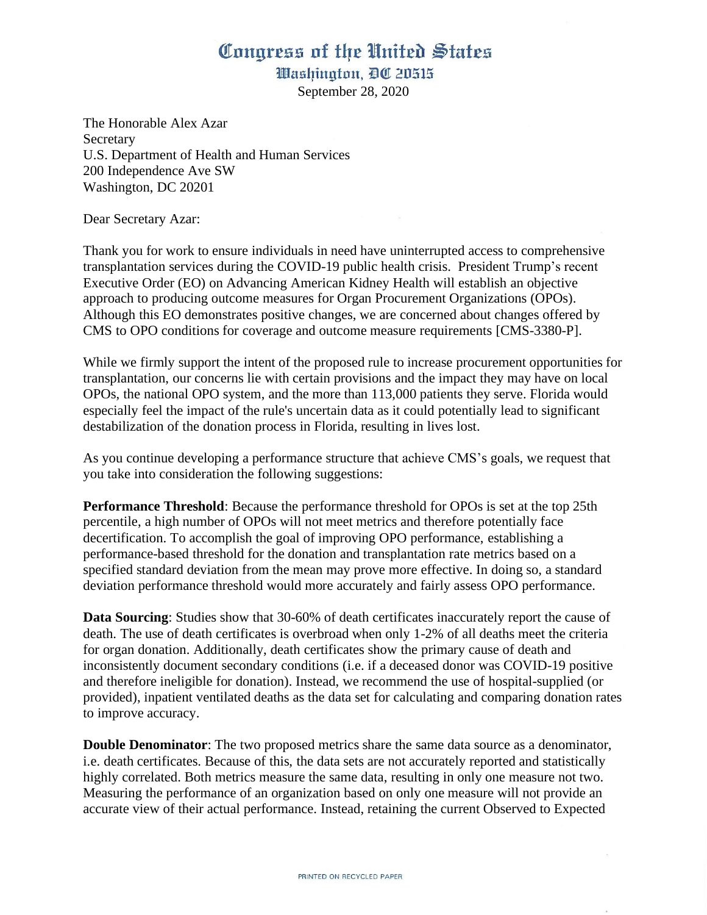## Conaress of the United States

Washington, DC 20515

September 28, 2020

The Honorable Alex Azar **Secretary** U.S. Department of Health and Human Services 200 Independence Ave SW Washington, DC 20201

Dear Secretary Azar:

Thank you for work to ensure individuals in need have uninterrupted access to comprehensive transplantation services during the COVID-19 public health crisis. President Trump's recent Executive Order (EO) on Advancing American Kidney Health will establish an objective approach to producing outcome measures for Organ Procurement Organizations (OPOs). Although this EO demonstrates positive changes, we are concerned about changes offered by CMS to OPO conditions for coverage and outcome measure requirements [CMS-3380-P].

While we firmly support the intent of the proposed rule to increase procurement opportunities for transplantation, our concerns lie with certain provisions and the impact they may have on local OPOs, the national OPO system, and the more than 113,000 patients they serve. Florida would especially feel the impact of the rule's uncertain data as it could potentially lead to significant destabilization of the donation process in Florida, resulting in lives lost.

As you continue developing a performance structure that achieve CMS's goals, we request that you take into consideration the following suggestions:

**Performance Threshold**: Because the performance threshold for OPOs is set at the top 25th percentile, a high number of OPOs will not meet metrics and therefore potentially face decertification. To accomplish the goal of improving OPO performance, establishing a performance-based threshold for the donation and transplantation rate metrics based on a specified standard deviation from the mean may prove more effective. In doing so, a standard deviation performance threshold would more accurately and fairly assess OPO performance.

**Data Sourcing**: Studies show that 30-60% of death certificates inaccurately report the cause of death. The use of death certificates is overbroad when only 1-2% of all deaths meet the criteria for organ donation. Additionally, death certificates show the primary cause of death and inconsistently document secondary conditions (i.e. if a deceased donor was COVID-19 positive and therefore ineligible for donation). Instead, we recommend the use of hospital-supplied (or provided), inpatient ventilated deaths as the data set for calculating and comparing donation rates to improve accuracy.

**Double Denominator:** The two proposed metrics share the same data source as a denominator, i.e. death certificates. Because of this, the data sets are not accurately reported and statistically highly correlated. Both metrics measure the same data, resulting in only one measure not two. Measuring the performance of an organization based on only one measure will not provide an accurate view of their actual performance. Instead, retaining the current Observed to Expected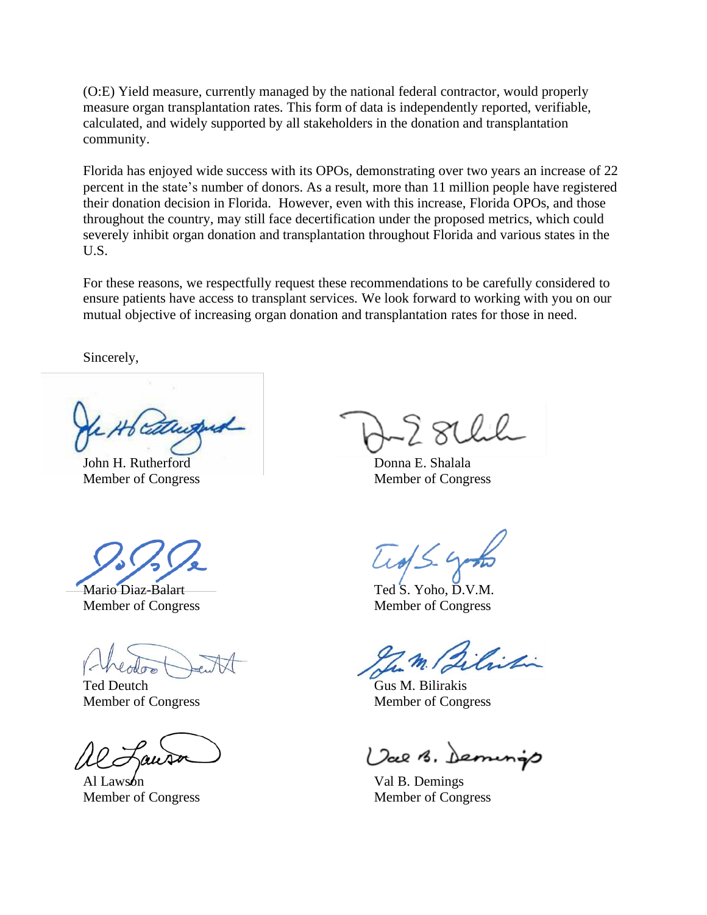(O:E) Yield measure, currently managed by the national federal contractor, would properly measure organ transplantation rates. This form of data is independently reported, verifiable, calculated, and widely supported by all stakeholders in the donation and transplantation community.

Florida has enjoyed wide success with its OPOs, demonstrating over two years an increase of 22 percent in the state's number of donors. As a result, more than 11 million people have registered their donation decision in Florida. However, even with this increase, Florida OPOs, and those throughout the country, may still face decertification under the proposed metrics, which could severely inhibit organ donation and transplantation throughout Florida and various states in the U.S.

For these reasons, we respectfully request these recommendations to be carefully considered to ensure patients have access to transplant services. We look forward to working with you on our mutual objective of increasing organ donation and transplantation rates for those in need.

Sincerely,

John H. Rutherford Member of Congress

Mario Diaz-Balart Member of Congress

Ted Deutch Member of Congress

Al Lawson Member of Congress

Donna E. Shalala Member of Congress

Ted S. Yoho, D.V.M. Member of Congress

Gus M. Bilirakis Member of Congress

Val B. Demings

Val B. Demings Member of Congress